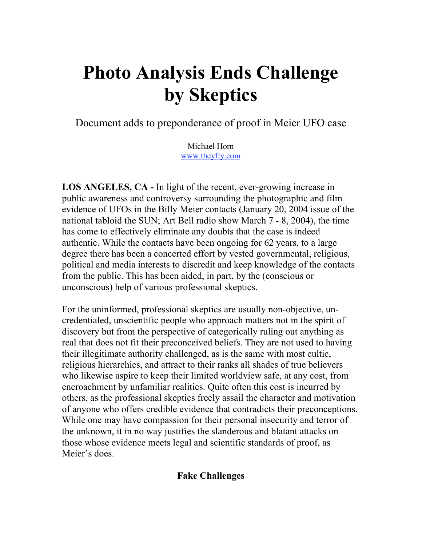# **Photo Analysis Ends Challenge by Skeptics**

Document adds to preponderance of proof in Meier UFO case

Michael Horn www.theyfly.com

**LOS ANGELES, CA -** In light of the recent, ever-growing increase in public awareness and controversy surrounding the photographic and film evidence of UFOs in the Billy Meier contacts (January 20, 2004 issue of the national tabloid the SUN; Art Bell radio show March 7 - 8, 2004), the time has come to effectively eliminate any doubts that the case is indeed authentic. While the contacts have been ongoing for 62 years, to a large degree there has been a concerted effort by vested governmental, religious, political and media interests to discredit and keep knowledge of the contacts from the public. This has been aided, in part, by the (conscious or unconscious) help of various professional skeptics.

For the uninformed, professional skeptics are usually non-objective, uncredentialed, unscientific people who approach matters not in the spirit of discovery but from the perspective of categorically ruling out anything as real that does not fit their preconceived beliefs. They are not used to having their illegitimate authority challenged, as is the same with most cultic, religious hierarchies, and attract to their ranks all shades of true believers who likewise aspire to keep their limited worldview safe, at any cost, from encroachment by unfamiliar realities. Quite often this cost is incurred by others, as the professional skeptics freely assail the character and motivation of anyone who offers credible evidence that contradicts their preconceptions. While one may have compassion for their personal insecurity and terror of the unknown, it in no way justifies the slanderous and blatant attacks on those whose evidence meets legal and scientific standards of proof, as Meier's does.

### **Fake Challenges**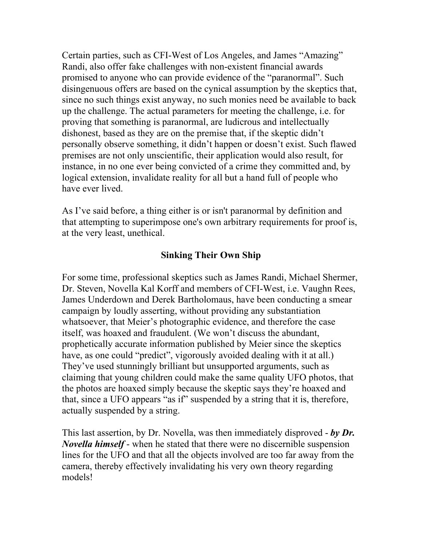Certain parties, such as CFI-West of Los Angeles, and James "Amazing" Randi, also offer fake challenges with non-existent financial awards promised to anyone who can provide evidence of the "paranormal". Such disingenuous offers are based on the cynical assumption by the skeptics that, since no such things exist anyway, no such monies need be available to back up the challenge. The actual parameters for meeting the challenge, i.e. for proving that something is paranormal, are ludicrous and intellectually dishonest, based as they are on the premise that, if the skeptic didn't personally observe something, it didn't happen or doesn't exist. Such flawed premises are not only unscientific, their application would also result, for instance, in no one ever being convicted of a crime they committed and, by logical extension, invalidate reality for all but a hand full of people who have ever lived.

As I've said before, a thing either is or isn't paranormal by definition and that attempting to superimpose one's own arbitrary requirements for proof is, at the very least, unethical.

## **Sinking Their Own Ship**

For some time, professional skeptics such as James Randi, Michael Shermer, Dr. Steven, Novella Kal Korff and members of CFI-West, i.e. Vaughn Rees, James Underdown and Derek Bartholomaus, have been conducting a smear campaign by loudly asserting, without providing any substantiation whatsoever, that Meier's photographic evidence, and therefore the case itself, was hoaxed and fraudulent. (We won't discuss the abundant, prophetically accurate information published by Meier since the skeptics have, as one could "predict", vigorously avoided dealing with it at all.) They've used stunningly brilliant but unsupported arguments, such as claiming that young children could make the same quality UFO photos, that the photos are hoaxed simply because the skeptic says they're hoaxed and that, since a UFO appears "as if" suspended by a string that it is, therefore, actually suspended by a string.

This last assertion, by Dr. Novella, was then immediately disproved - *by Dr. Novella himself* - when he stated that there were no discernible suspension lines for the UFO and that all the objects involved are too far away from the camera, thereby effectively invalidating his very own theory regarding models!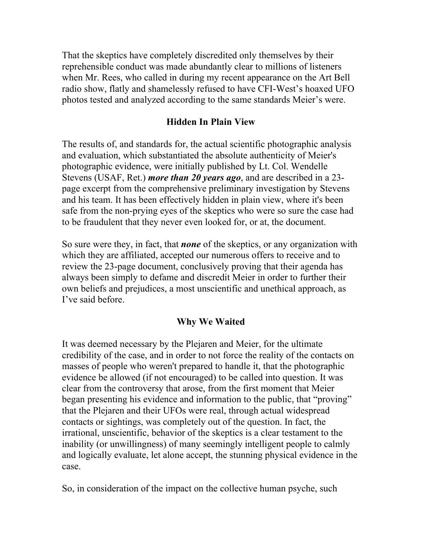That the skeptics have completely discredited only themselves by their reprehensible conduct was made abundantly clear to millions of listeners when Mr. Rees, who called in during my recent appearance on the Art Bell radio show, flatly and shamelessly refused to have CFI-West's hoaxed UFO photos tested and analyzed according to the same standards Meier's were.

### **Hidden In Plain View**

The results of, and standards for, the actual scientific photographic analysis and evaluation, which substantiated the absolute authenticity of Meier's photographic evidence, were initially published by Lt. Col. Wendelle Stevens (USAF, Ret.) *more than 20 years ago*, and are described in a 23 page excerpt from the comprehensive preliminary investigation by Stevens and his team. It has been effectively hidden in plain view, where it's been safe from the non-prying eyes of the skeptics who were so sure the case had to be fraudulent that they never even looked for, or at, the document.

So sure were they, in fact, that *none* of the skeptics, or any organization with which they are affiliated, accepted our numerous offers to receive and to review the 23-page document, conclusively proving that their agenda has always been simply to defame and discredit Meier in order to further their own beliefs and prejudices, a most unscientific and unethical approach, as I've said before.

# **Why We Waited**

It was deemed necessary by the Plejaren and Meier, for the ultimate credibility of the case, and in order to not force the reality of the contacts on masses of people who weren't prepared to handle it, that the photographic evidence be allowed (if not encouraged) to be called into question. It was clear from the controversy that arose, from the first moment that Meier began presenting his evidence and information to the public, that "proving" that the Plejaren and their UFOs were real, through actual widespread contacts or sightings, was completely out of the question. In fact, the irrational, unscientific, behavior of the skeptics is a clear testament to the inability (or unwillingness) of many seemingly intelligent people to calmly and logically evaluate, let alone accept, the stunning physical evidence in the case.

So, in consideration of the impact on the collective human psyche, such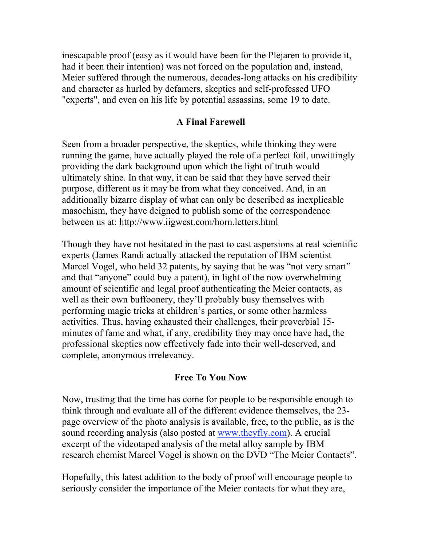inescapable proof (easy as it would have been for the Plejaren to provide it, had it been their intention) was not forced on the population and, instead, Meier suffered through the numerous, decades-long attacks on his credibility and character as hurled by defamers, skeptics and self-professed UFO "experts", and even on his life by potential assassins, some 19 to date.

### **A Final Farewell**

Seen from a broader perspective, the skeptics, while thinking they were running the game, have actually played the role of a perfect foil, unwittingly providing the dark background upon which the light of truth would ultimately shine. In that way, it can be said that they have served their purpose, different as it may be from what they conceived. And, in an additionally bizarre display of what can only be described as inexplicable masochism, they have deigned to publish some of the correspondence between us at: http://www.iigwest.com/horn.letters.html

Though they have not hesitated in the past to cast aspersions at real scientific experts (James Randi actually attacked the reputation of IBM scientist Marcel Vogel, who held 32 patents, by saying that he was "not very smart" and that "anyone" could buy a patent), in light of the now overwhelming amount of scientific and legal proof authenticating the Meier contacts, as well as their own buffoonery, they'll probably busy themselves with performing magic tricks at children's parties, or some other harmless activities. Thus, having exhausted their challenges, their proverbial 15 minutes of fame and what, if any, credibility they may once have had, the professional skeptics now effectively fade into their well-deserved, and complete, anonymous irrelevancy.

#### **Free To You Now**

Now, trusting that the time has come for people to be responsible enough to think through and evaluate all of the different evidence themselves, the 23 page overview of the photo analysis is available, free, to the public, as is the sound recording analysis (also posted at www.theyfly.com). A crucial excerpt of the videotaped analysis of the metal alloy sample by IBM research chemist Marcel Vogel is shown on the DVD "The Meier Contacts".

Hopefully, this latest addition to the body of proof will encourage people to seriously consider the importance of the Meier contacts for what they are,